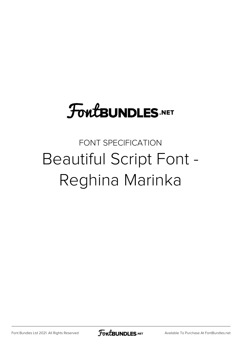# **FoutBUNDLES.NET**

### FONT SPECIFICATION Beautiful Script Font - Reghina Marinka

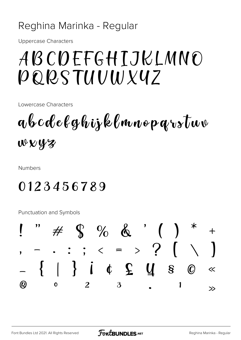#### Reghina Marinka - Regular

**Uppercase Characters** 

# ABCDEFGHTJKLMNO PQRSTUUWXYZ

Lowercase Characters

abcdelghijklmnoparstuv wwyz

**Numbers** 

#### 0123456789

**Punctuation and Symbols** 

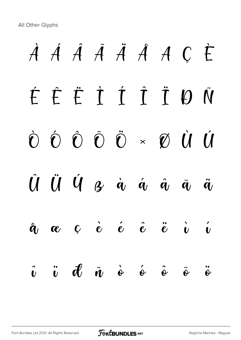All Other Glyphs

# À Á Â Ã Ä Å Æ Ç È É Ê Ë Ì Í Î Ï Ð Ñ Ò Ó Ô Õ Ö × Ø Ù Ú  $\hat{U}$   $\hat{U}$   $\hat{V}$   $\hat{q}$   $\hat{q}$   $\hat{q}$   $\hat{q}$   $\hat{q}$   $\hat{q}$  $\hat{\mathfrak{a}}$   $\mathfrak{a}$   $\mathfrak{c}$   $\hat{\mathfrak{e}}$   $\hat{\mathfrak{e}}$   $\hat{\mathfrak{e}}$   $\hat{\mathfrak{e}}$   $\hat{\mathfrak{e}}$   $\hat{\mathfrak{v}}$   $\hat{\mathfrak{v}}$  $\hat{v}$   $\ddot{v}$   $\vec{d}$   $\ddot{\hat{v}}$   $\dot{\hat{v}}$   $\dot{\hat{v}}$   $\ddot{\hat{v}}$   $\ddot{\hat{v}}$   $\ddot{\hat{v}}$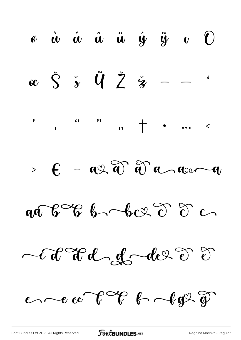$\mathscr{I}$   $\dot{u}$   $\dot{u}$   $\ddot{u}$   $\ddot{u}$   $\dot{y}$   $\ddot{y}$   $v$  $\bigodot$  $x \times \zeta$   $\zeta$   $\zeta$   $\zeta$  $\blacklozenge$  $\frac{1}{\sqrt{2}}$  $\overline{a}$ ,  $\overline{a}$  $\mathbf{\mathbf{y}}$  $\langle$  $\overline{\mathbf{y}}$  $-$  av a  $\theta$  a avant  $\mathbf{f}$  $\sum$  $a\mathbf{a}$  b  $\mathcal{C}$  b  $b$  b  $\mathcal{C}$   $\mathcal{C}$   $\mathcal{C}$   $\mathcal{C}$ Col Holg der 8 2  $e \sim e e C \sim 6$  frage of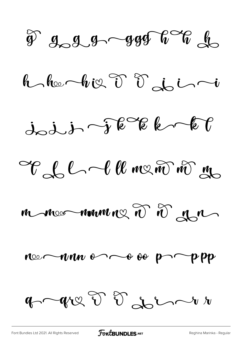$\widehat{\mathscr{Y}}$  god god  $\mathscr{Y}$  of

 $h$  he big  $\widetilde{v}$   $\widetilde{v}$  do  $i$ 

 $j_{\infty}j_{\infty}j_{\infty}$  of  $e^{\infty}e$   $e^{\infty}e$ 

Ell-langement

mmormmmed 2 2 mm

nee nous est es proppe